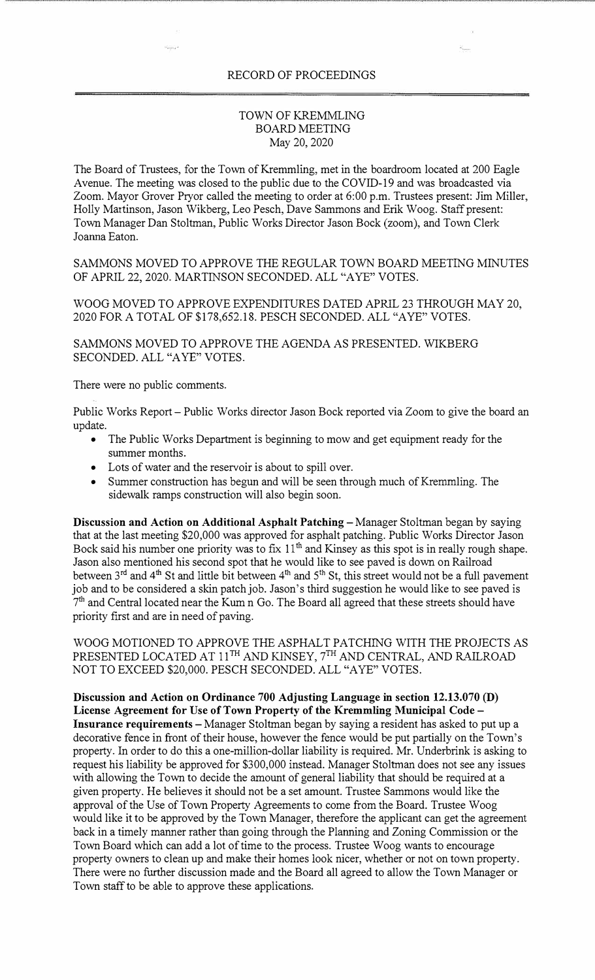## RECORD OF PROCEEDINGS

## TOWN OF KREMMLING BOARD MEETING May 20, 2020

The Board of Trustees, for the Town of Kremmling, met in the boardroom located at 200 Eagle Avenue. The meeting was closed to the public due to the COVID-19 and was broadcasted via Zoom. Mayor Grover Pryor called the meeting to order at 6:00 p.m. Trustees present: Jim Miller, Holly Martinson, Jason Wikberg, Leo Pesch, Dave Sammons and Erik Woog. Staff present: Town Manager Dan Stoltman, Public Works Director Jason Bock (zoom), and Town Clerk Joanna Eaton.

SAMMONS MOVED TO APPROVE THE REGULAR TOWN BOARD MEETING MINUTES OF APRIL 22, 2020. MARTINSON SECONDED. ALL "A YE" VOTES.

WOOG MOVED TO APPROVE EXPENDITURES DATED APRIL 23 THROUGH MAY 20, 2020 FOR A TOTAL OF \$178,652.18. PESCH SECONDED. ALL "A YE" VOTES.

SAMMONS MOVED TO APPROVE THE AGENDA AS PRESENTED. WIKBERG SECONDED. ALL "A YE" VOTES.

There were no public comments.

Public Works Report- Public Works director Jason Bock reported via Zoom to give the board an update.

- The Public Works Department is beginning to mow and get equipment ready for the summer months.
- Lots of water and the reservoir is about to spill over.
- Summer construction has begun and will be seen through much of Kremmling. The sidewalk ramps construction will also begin soon.

**Discussion and Action on Additional Asphalt Patching – Manager Stoltman began by saying** that at the last meeting \$20,000 was approved for asphalt patching. Public Works Director Jason Bock said his number one priority was to fix 11<sup>th</sup> and Kinsey as this spot is in really rough shape. Jason also mentioned his second spot that he would like to see paved is down on Railroad between 3<sup>rd</sup> and 4<sup>th</sup> St and little bit between 4<sup>th</sup> and 5<sup>th</sup> St, this street would not be a full pavement job and to be considered a skin patch job. Jason's third suggestion he would like to see paved is 7 th and Central located near the Kum n Go. The Board all agreed that these streets should have priority first and are in need of paving.

WOOG MOTIONED TO APPROVE THE ASPHALT PATCHING WITH THE PROJECTS AS PRESENTED LOCATED AT  $11^{TH}$  AND KINSEY,  $7^{TH}$  AND CENTRAL, AND RAILROAD NOT TO EXCEED \$20,000. PESCH SECONDED. ALL "A YE" VOTES.

**Discussion and Action on Ordinance 700 Adjusting Language in section 12.13.070 (D) License Agreement for Use of Town Property of the Kremmling Municipal Code** - Insurance requirements - Manager Stoltman began by saying a resident has asked to put up a decorative fence in front of their house, however the fence would be put partially on the Town's property. In order to do this a one-million-dollar liability is required. Mr. Underbrink is asking to request his liability be approved for \$300,000 instead. Manager Stoltrnan does not see any issues with allowing the Town to decide the amount of general liability that should be required at a given property. He believes it should not be a set amount. Trustee Sammons would like the approval of the Use of Town Property Agreements to come from the Board. Trustee Woog would like it to be approved by the Town Manager, therefore the applicant can get the agreement back in a timely manner rather than going through the Planning and Zoning Commission or the Town Board which can add a lot of time to the process. Trustee Woog wants to encourage property owners to clean up and make their homes look nicer, whether or not on town property. There were no further discussion made and the Board all agreed to allow the Town Manager or Town staff to be able to approve these applications.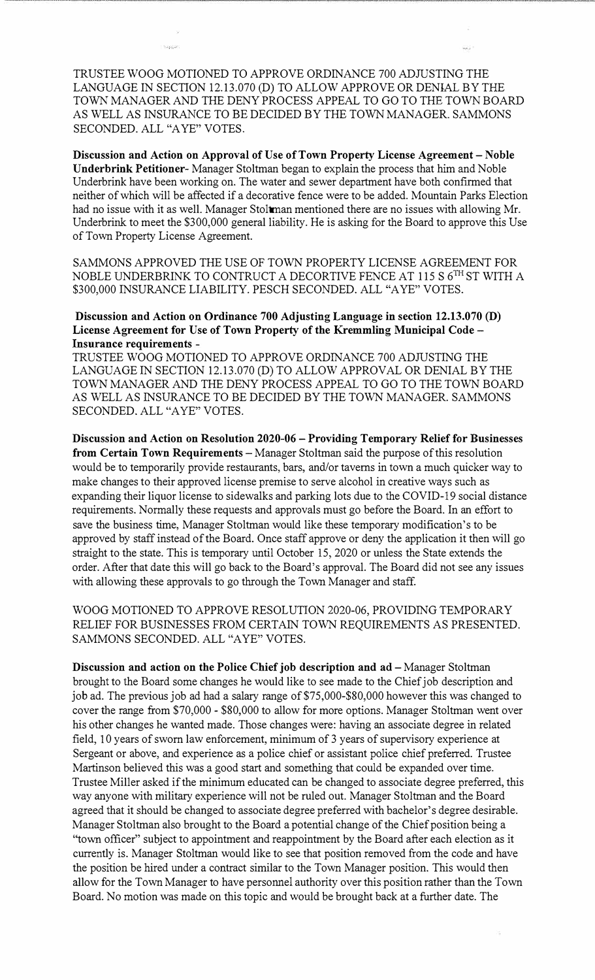TRUSTEE WOOG MOTIONED TO APPROVE ORDINANCE 700 ADJUSTING THE LANGUAGE IN SECTION 12.13.070 (D) TO ALLOW APPROVE OR DENIAL BY THE TOWN MANAGER AND THE DENY PROCESS APPEAL TO GO TO THE TOWN BOARD AS WELL AS INSURANCE TO BE DECIDED BY THE TOWN MANAGER. SAMMONS SECONDED. ALL "A YE" VOTES.

**Discussion and Action on Approval of Use of Town Property License Agreement** - **Noble Underbrink Petitioner-** Manager Stoltman began to explain the process that him and Noble Underbrink have been working on. The water and sewer department have both confirmed that neither of which will be affected if a decorative fence were to be added. Mountain Parks Election had no issue with it as well. Manager Stoltman mentioned there are no issues with allowing Mr. Underbrink to meet the \$300,000 general liability. He is asking for the Board to approve this Use of Town Property License Agreement.

SAMMONS APPROVED THE USE OF TOWN PROPERTY LICENSE AGREEMENT FOR NOBLE UNDERBRINK TO CONTRUCT A DECORTIVE FENCE AT 115 S  $6^{\text{TH}}$  ST WITH A \$300,000 INSURANCE LIABILITY. PESCH SECONDED. ALL "A YE" VOTES.

**Discussion and Action on Ordinance 700 Adjusting Language in section 12.13.070 (D) License Agreement for Use of Town Property of the Kremmling Municipal Code-Insurance requirements** 

TRUSTEE WOOG MOTIONED TO APPROVE ORDINANCE 700 ADJUSTING THE LANGUAGE IN SECTION 12.13.070 (D) TO ALLOW APPROVAL OR DENIAL BY THE TOWN MANAGER AND THE DENY PROCESS APPEAL TO GO TO THE TOWN BOARD AS WELL AS INSURANCE TO BE DECIDED BY THE TOWN MANAGER. SAMMONS SECONDED. ALL "AYE" VOTES.

**Discussion and Action on Resolution 2020-06** - **Providing Temporary Relief for Businesses from Certain Town Requirements** - Manager Stoltman said the purpose of this resolution would be to temporarily provide restaurants, bars, and/or taverns in town a much quicker way to make changes to their approved license premise to serve alcohol in creative ways such as expanding their liquor license to sidewalks and parking lots due to the COVID-19 social distance requirements. Normally these requests and approvals must go before the Board. In an effort to save the business time, Manager Stoltman would like these temporary modification's to be approved by staff instead of the Board. Once staff approve or deny the application it then will go straight to the state. This is temporary until October 15, 2020 or unless the State extends the order. After that date this will go back to the Board's approval. The Board did not see any issues with allowing these approvals to go through the Town Manager and staff.

WOOG MOTIONED TO APPROVE RESOLUTION 2020-06, PROVIDING TEMPORARY RELIEF FOR BUSINESSES FROM CERTAIN TOWN REQUIREMENTS AS PRESENTED. SAMMONS SECONDED. ALL "AYE" VOTES.

**Discussion and action on the Police Chief job description and ad - Manager Stoltman** brought to the Board some changes he would like to see made to the Chief job description and job ad. The previous job ad had a salary range of \$75,000-\$80,000 however this was changed to cover the range from \$70,000 - \$80,000 to allow for more options. Manager Stoltman went over his other changes he wanted made. Those changes were: having an associate degree in related field, 10 years of sworn law enforcement, minimum of 3 years of supervisory experience at Sergeant or above, and experience as a police chief or assistant police chief preferred. Trustee Martinson believed this was a good start and something that could be expanded over time. Trustee Miller asked if the minimum educated can be changed to associate degree preferred, this way anyone with military experience will not be ruled out. Manager Stoltman and the Board agreed that it should be changed to associate degree preferred with bachelor's degree desirable. Manager Stoltman also brought to the Board a potential change of the Chief position being a "town officer" subject to appointment and reappointment by the Board after each election as it currently is. Manager Stoltman would like to see that position removed from the code and have the position be hired under a contract similar to the Town Manager position. This would then allow for the Town Manager to have personnel authority over this position rather than the Town Board. No motion was made on this topic and would be brought back at a further date. The